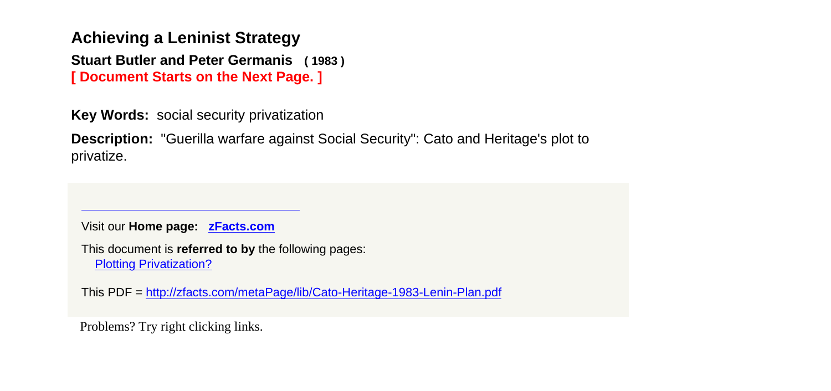# **Achieving a Leninist Strategy**

**Stuart Butler and Peter Germanis ( 1983 ) [ Document Starts on the Next Page. ]**

**Key Words:** social security privatization

**Description:** "Guerilla warfare against Social Security": Cato and Heritage's plot to privatize.

Visit our **Home page: [zFacts.com](http://zfacts.com/)**

This document is **referred to by** the following pages: [Plotting Privatization?](http://zfacts.com/p/486.html)

This PDF = <http://zfacts.com/metaPage/lib/Cato-Heritage-1983-Lenin-Plan.pdf>

Problems? Try right clicking links.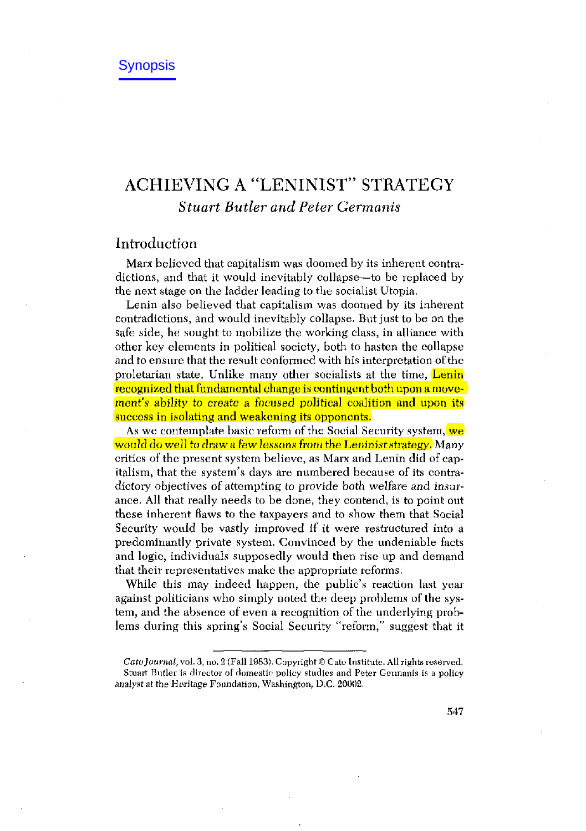# ACHIEVING A "LENINIST" STRATEGY *Stuart Butler and Peter Germanis*

# Introduction

Marx believed that capitalism was doomed by its inherent contradictions, and that it would inevitably collapse—to he replaced by the next stage on the ladder leading to the socialist Utopia.

Lenin also believed that capitalism was doomed by its inherent contradictions, and would inevitably collapse. But just to be on the safe side, he sought to mobilize the working class, in alliance with other key elements in political society, both to hasten the collapse and to ensure that the result conformed with his interpretation of the proletarian state. Unlike many other socialists at the time, Lenin recognized that fundamental change is contingent both upon a movement's ability to create a focused political coalition and upon its success in isolating and weakening its opponents.

As we contemplate basic reform of the Social Security system, we would do well to drawa few lessons fromthe Leniniststrategy. Many critics of the present system believe, as Marx and Lenin did of capitalism, that the system's days are numbered because of its contradictory objectives of attempting to provide both welfare and insurance. All that really needs to be done, they contend, is to point out these inherent flaws to the taxpayers and to show them that Social Security would be vastly improved if it were restructured into a predominantly private system. Convinced by the undeniable facts and logic, individuals supposedly would then rise up and demand that their representatives make the appropriate reforms.

While this may indeed happen, the public's reaction last year against politicians who simply noted the deep problems of the system, and the absence of even a recognition of the underlying problems during this spring's Social Security "reform," suggest that it

Cato Journal, vol. 3, no. 2 (Fall 1983). Copyright © Cato Institute. All rights reserved. Stuart Butler is director of domestic policy studies and Peter Cermanis is a policy analyst at the Heritage Foundation, Washington, D.C. 20002,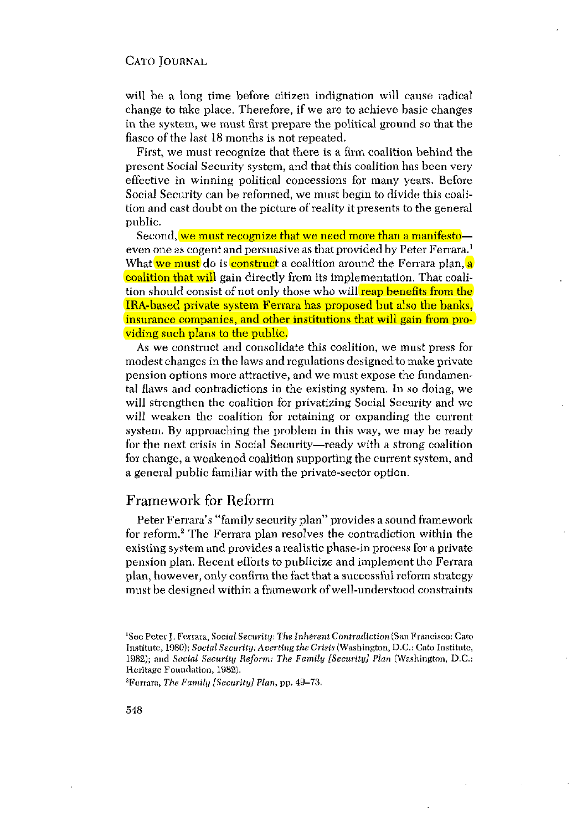will be a long time before citizen indignation will cause radical change to take place. Therefore, if we are to achieve basic changes in the system, we must first prepare the political ground so that the fiasco of the last 18 months is not repeated.

First, we must recognize that there is a firm coalition behind the present Social Security system, and that this coalition has been very effective in winning political concessions for many years. Before Social Security can be reformed, we must begin to divide this coalition and cast doubt on the picture of reality it presents to the general public.

Second, we must recognize that we need more than a manifesto even one as cogent and persuasive as that provided by Peter Ferrara.<sup>1</sup> What we must do is construct a coalition around the Ferrara plan, a coalition that will gain directly from its implementation. That coalition should consist of not only those who will reap benefits from the IRA-based private system Ferrara has proposed but also the banks, insurance companies, and other institutions that will gain from providing such plans to the public.

As we construct and consolidate this coalition, we must press for modest changes inthe laws and regulations designed to make private pension options more attractive, and we must expose the fundamental flaws and contradictions in the existing system. In so doing, we will strengthen the coalition for privatizing Social Security and we will weaken the coalition for retaining or expanding the current system. By approaching the problem in this way, we may be ready for the next crisis in Social Security—ready with a strong coalition for change, a weakened coalition supporting the current system, and a general public familiar with the private-sector option.

# Framework for Reform

Peter Ferrara's "family security plan" provides a sound framework for reform.2 The Ferrara plan resolves the contradiction within the existing system and provides a realistic phase-in process for a private pension plan. Recent efforts to publicize and implement the Ferrara plan, however, only confirm the fact that a successful reform strategy must be designed within a framework of well-understood constraints

Ferrara, *The Family [Security] Plan, pp.* 49—73.

<sup>&#</sup>x27;See Peter]. Ferrara, Social *Security: The Inherent* Contradiction (San Francisco: Cato Institute, 1980); *social Security:Averting theCrisis* (Washiogton, D.C.: Cato Institute, 1982); arid Socia/ *Security Reform: The Family [Security]* Plan (washington, D.C.: Heritage Foundation, 1982).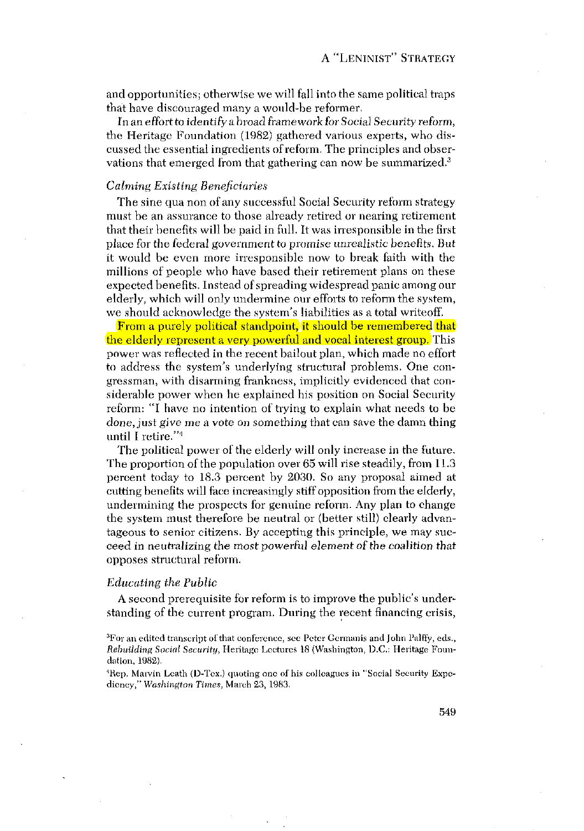and opportunities; otherwise we will fall into the same political traps that have discouraged many a would-be reformer.

In an effort to identify a broad framework for Social Security reform, the Heritage Foundation (1982) gathered various experts, who discussed the essential ingredients of reform. The principles and observations that emerged from that gathering can now be summarized.<sup>3</sup>

#### *Calming Existing Beneficiaries*

The sine qua non of any successful Social Security reform strategy must he an assurance to those already retired or nearing retirement that their benefits will he paid in full. It was irresponsible in the first place for the federal government to promise unrealistic benefits. But it would be even more irresponsible now to break faith with the millions of people who have based their retirement plans on these expected benefits. Instead of spreading widespread panic among our elderly, which will only undermine our efforts to reform the system, we should acknowledge the system's liabilities as a total writeoff.

From a purely political standpoint, it should be remembered that the elderly represent a very powerful and vocal interest group. This power was reflected in the recent bailout plan, which made no effort to address the system's underlying structural problems. One congressman, with disarming frankness, implicitly evidenced that considerable power when he explained his position on Social Security reform: "I have no intention of trying to explain what needs to be done, just give me a vote on something that can save the damn thing until I retire."<sup>4</sup>

The political power of the elderly will only increase in the future. The proportion of the population over 65 will rise steadily, from 11.3 percent today to 18.3 percent by 2030. So any proposal aimed at cutting benefits will face increasingly stiff opposition from the elderly, undermining the prospects for genuine reform. Any plan to change the system must therefore he neutral or (better still) clearly advantageous to senior citizens. By accepting this principle, we may succeed in neutralizing the most powerful element of the coalition that opposes structural reform.

#### *Educating the Public*

A second prerequisite for reform is to improve the public's understanding of the current program. During the recent financing crisis,

<sup>&</sup>lt;sup>3</sup>For an edited transcript of that conference, sec Peter Germanis and John Palffy, eds., *Rebuilding* Social Security, Heritage Lectures 18 (washiogton, D.C.: Heritage Foundation, 1982).

Rep. Marvin Leath (D-Tex.) quoting one of his colleagues in "Social Security Expedieocy," Washington *Times,* March 23, 1983.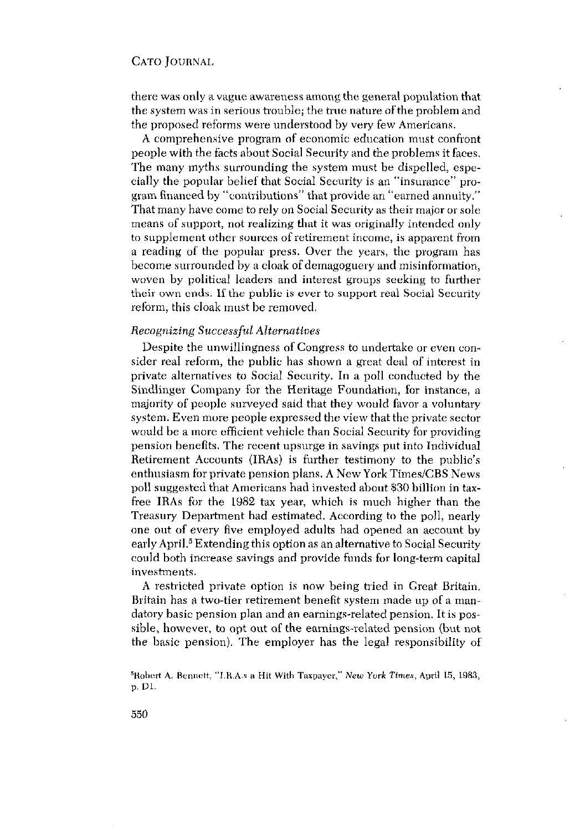**there** was **only a** vague **awareness among the** generalpopulation **that the system** was **in serious trouble; the** true nature**ofthe problem** and **the** proposed reforms **were** understood**by** very **few** Americans.

**A comprehensive** program **of economic education must confront people with the factsabout** Social Security and**theproblems it** faces. **The** many myths **surrounding the system must be** dispelled, **espe cially the popular belief**that **Social Security is an "Insurance"** pro**gram financed by "contributions"** that**provide an "earned annuity." That many have come to rely on Social Security as their major or sole means ofsupport, not** realizing **that it** was originally **intended only to supplement other sourcesofretirement income, is apparentfrom <sup>a</sup> reading of the popular press. Over the years, the** program has **become surrounded bya cloak of**demagoguery and**misinformation, woven by political leaden and interest groups seeking to** further **their** own **ends. Ifthe public is everto support real Social** Security **relbrm,this cloak must be removed.**

#### *Recognizing Successful Alternatives*

**Despite** the unwillingness of Congress to undertake or even con**sider real** reform, **the public** has **shown a great deal of interest in private** alternatives to Social Security. **In a poll conducted by the Sindlinger** Company **for the** Heritage **Foundation, for instance, a** m~ority**ofpeople surveyed said that they would favor a voluntary system. Even** more people expressed the view that the private sector **would** be a more efficient vehicle than Social Security for providing **pension benefits. The recent upsurge in** savings **put Into Individual Retirement** Accounts **(IBM) is further testimony to the public's enthusiasm for privatepension plans. A NewYork Times/CBS News poll** suggested **that Americans had invested about** \$30 **billion in tax**free **IRAs for the 1982 tax year, which is much** higher **than the** Treasury **Department had estimated. According to the poll, nearly one out of every five employed** adults had opened **an account by early April.**<sup>5</sup> Extending this option as an alternative to Social Security **could both Increase savings** and provide **funds for long-term** capital **investments.**

**A** restricted **private option is now** being **tried in** Great **Britain.** Britain has atwo-tier **retirement benefit system** made **up ofa mandatory basic pension plan** and an earnings-related**pension.** It **is possible, however, to opt out ofthe** earnings-related **pension (but** not **the basic pension). The employer has the legal** responsibility **of**

**<sup>&#</sup>x27;Robert£** Bennctt~**"IJLA.s a Hit** with Taxpayer," *New* York *tines,* **April 15, 1983,** p. **Dl.**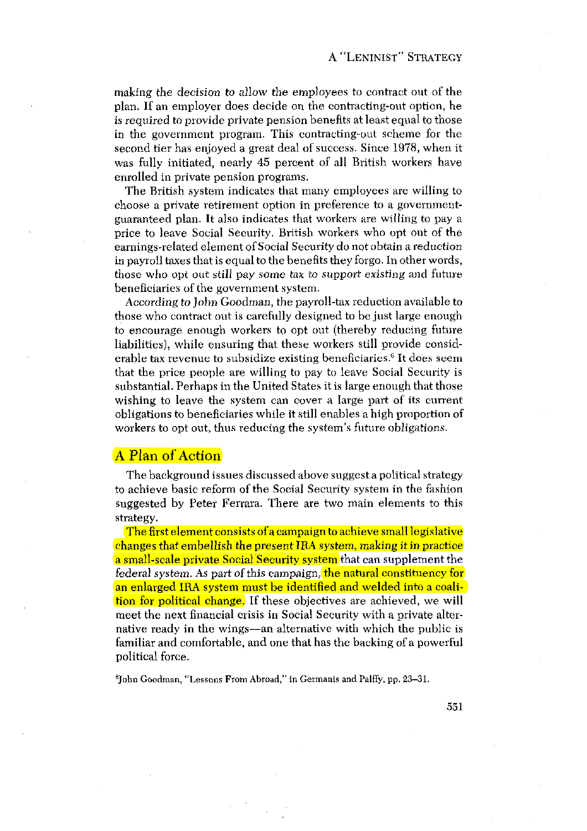## A "LENINIST" STRATEGY

making the decision to allow the employees to contract out of the plan. If an employer does decide on the contracting-out option, he is required to provide private pension benefits **at** least equal to those in the government program. This contracting-out scheme for the second tier has enjoyed a great deal of success. Since 1978, when it was fully initiated, nearly 45 percent of all British workers have enrolled in private pension programs.

The British system indicates that many employees are willing to choose a private retirement option in preference to a governmentguaranteed plan. It also indicates that workers are willing to pay a price to leave Social Security. British workers who opt out of the earnings-related element of Social Security do not obtain a reduction inpayroll taxes that is equal to the benefits they forgo. In other words, those who opt out still pay some tax to support existing and future beneficiaries of the government system.

According to John Goodman, the payroll-tax reduction available to those who contract out is carefully designed to be jnst large enough to encourage enough workers to opt out (thereby reducing future liabilities), while ensuring that these workers still provide considerable tax revenue to subsidize existing beneficiaries.6 It does seem that the price people are willing to pay to leave Social Security is substantial. Perhaps in the United States it is large enough that those wishing to leave the system can cover a large part of its current obligations to beneficiaries while it still enables a high proportion of workers to opt out, thus reducing the system's future obligations.

# **A** Plan of Action

The background issues discussed above suggest a political strategy to achieve basic reform of the Social Security system in the fashion suggested by Peter Ferrara. There are two main elements to this strategy.

The first element consists ofa campaignto achieve small legislative changes that embellish the presentIRA system, making it in practice a small-scale private Social Security system that can supplement the federal system. As part of this campaign, the natural constituency for an enlarged IRA system must be identified and welded into a coalition for political change. If these objectives are achieved, we will meet the next financial crisis in Social Security with a private alternative ready in the wings—an alternative with which the public is familiar and comfortable, and one that has the backing of a powerful political force.

e<br><sup>6</sup>John Goodman, "Lessons From Abroad," in Germanis and Palffy, pp. 23–31.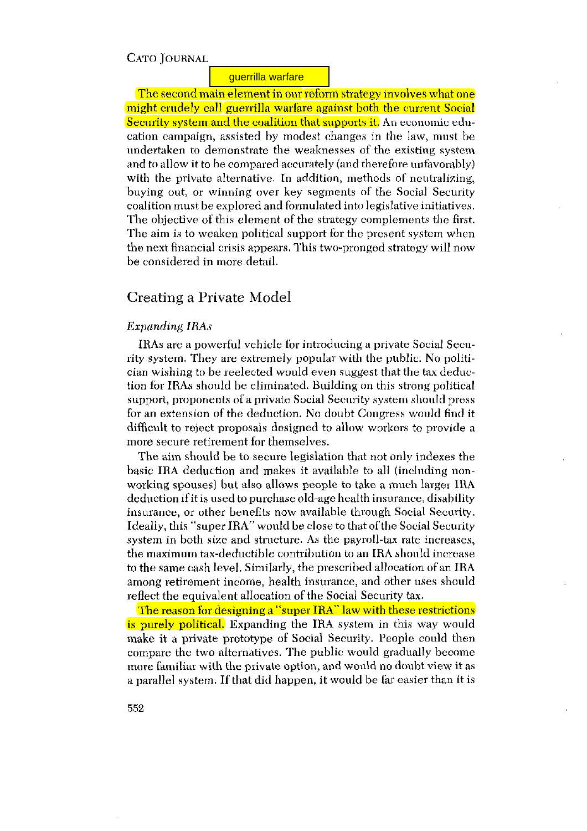#### guerrilla warfare

The second main element in our reform strategy involves what one might crudely call guerrilla warfare against both the current Social Security system and the coalition that supports it. An economic education campaign, assisted by modest changes in the law, must be undertaken to demonstrate the weaknesses of the existing system and to allow it to be compared accurately (and therefore unfavorably) with the private alternative. In addition, methods of neutralizing, buying out, or winning over key segments of the Social Security coalition must be explored and formulated into legislative initiatives, The objective of this element of the strategy complements the first. The aim is to weaken political support for the present system when the next financial crisis appears. This two-pronged strategy will now be considered in more detail.

# Creating a Private Model

#### *Expanding IRAs*

IRAs are a powerful vehicle for introducing a private Social Security system. They are extremely popular with the public. No politician wishing to be reelected would even suggest that the tax deduction for IRAs should he eliminated. Building on this strong political support, proponents of a private Social Security system should press for an extension of the deduction. No doubt Congress would find it difficult to reject proposals designed to allow workers to provide a more secure retirement for themselves.

The aim should be to secure legislation that not only indexes the basic IRA deduction and makes it available to all (including nonworking spouses) but also allows people to take a much larger IRA deduction if it is used to purchase old-age health insurance, disability insurance, or other benefits now available through Social Security. Ideally, this "super IRA" would be close to that of the Social Security system in both size and structure. As the payroll-tax rate increases, the maximum tax-deductible contribution to an IRA should increase to the same cash level. Similarly, the prescribed allocation of an IRA among retirement income, health insurance, and other uses should reflect the equivalent allocation of the Social Security tax.

The reason for designing a "super IRA" law with these restrictions is purely political. Expanding the IRA system in this way would make it a private prototype of Social Security. People could then compare the two alternatives. The public would gradually become more familiar with the private option, and would no doubt view it as a parallel system. If that did happen, it would be far easier than it is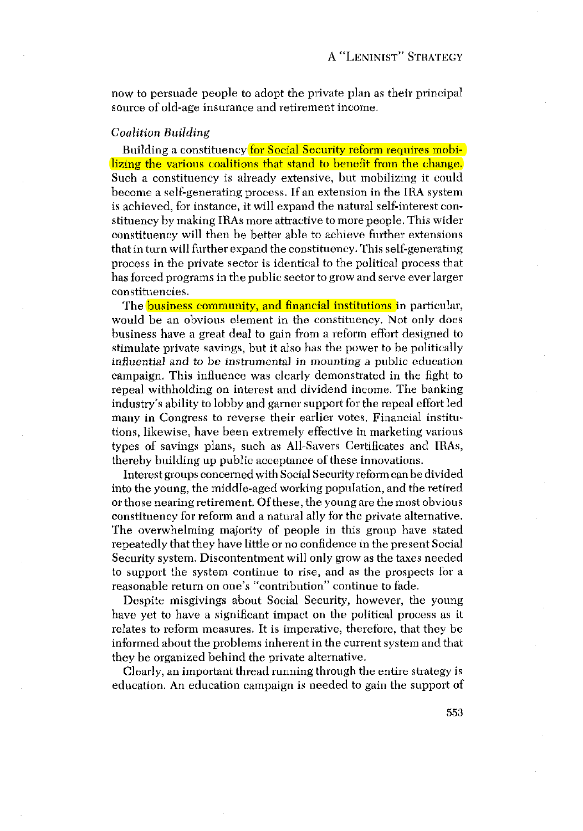now to persuade people to adopt the private plan as their principal source of old-age insurance and retirement income.

#### *Coalition Building*

Building a constituency for Social Security reform requires mobilizing the various coalitions that stand to benefit from the change. Such a constituency is already extensive, but mobilizing it could become a self-generating process. If an extension in the IRA system is achieved, for instance, it will expand the natural self-interest constituency by making IRAs more attractive to more people. This wider constituency will then be better able to achieve further extensions that in turn will further expand the constituency. This self-generating process in the private sector is identical to the political process that has forced programs inthe public sector to grow and serve ever larger constituencies.

The **business community, and financial institutions** in particular, would be an obvious element in the constituency. Not only does business have a great deal to gain from a reform effort designed to stimulate private savings, but it also has the power to be politically influential *and* to be instrumental in mounting a public education campaign. This influence was clearly demonstrated in the fight to repeal withholding on interest and dividend income. The banking industry's ability to lobby and garner support for the repeal effort led many in Congress to reverse their earlier votes. Financial institutions, likewise, have been extremely effective in marketing various types of savings plans, such as All-Savers Certificates and IRAs, thereby building up public acceptance of these innovations.

Interest groups concerned with Social Security reform can be divided into the young, the middle-aged working population, and the retired or those nearing retirement. Of these, the young are the most obvious constituency for reform and a natural ally for the private alternative. The overwhelming majority of people in this group have stated repeatedly that they have little or no confidence inthe present Social Security system. Discontentment will only grow as the taxes needed to support the system continue to rise, and as the prospects for a reasonable return on one's "contribution" continue to fade.

Despite misgivings about Social Security, however, the young have yet to have a significant impact on the political process as it relates to reform measures, It is imperative, therefore, that they be informed about the problems inherent inthe current system and that they be organized behind the private alternative.

Clearly, an important thread running through the entire strategy is education. An education campaign is needed to gain the support of

553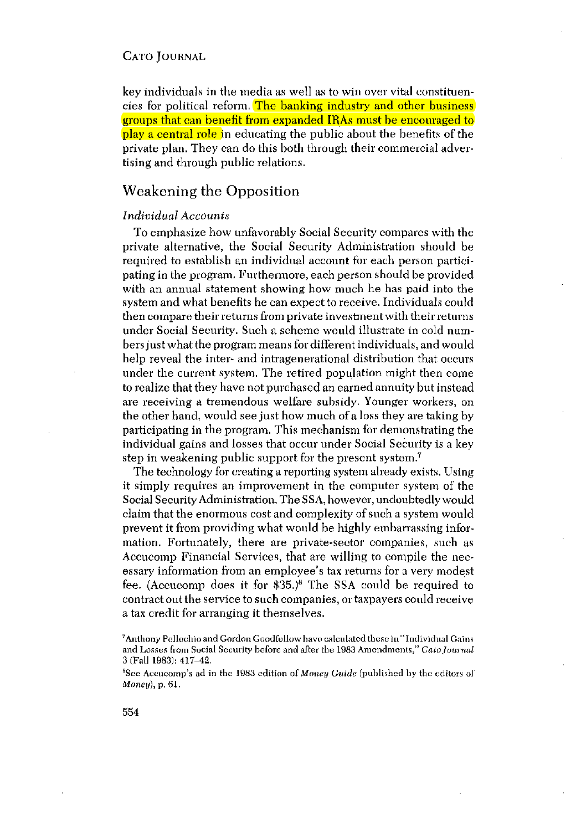key individuals in the media as well as to win over vital constituencies for political reform. The banking industry and other business groups that can benefit from expanded IRAs must he encouraged to play a central role in educating the public about the benefits of the private plan. They can do this both through their commercial advertising and through public relations.

# Weakening the Opposition

#### *Individual* Accounts

To emphasize how unfavorably Social Security compares with the private alternative, the Social Security Administration should be required to establish an individual account for each person participating in the program. Furthermore, each person should be provided with an annual statement showing how much he has paid into the system and what benefits he can expect to receive. Individuals could then compare their returns from private investment with their returns under Social Security. Such a scheme would illustrate in cold numbersjust what the programmeans for different individuals, and would help reveal the inter- and intragenerational distribution that occurs under the current system. The retired population might then come to realize that they have not purchased an earned annuity but instead are receiving a tremendous welfare subsidy. Younger workers, on the other hand, would see just how much of a loss they are taking by participating in the program. This mechanism fbr demonstrating the individual gains and losses that occur under Social Security is a key step in weakening public support for the present system.<sup>7</sup>

The technology for creating a reporting system already exists. Using it simply requires an improvement in the computer system of the Social Security Administration. The SSA, however, undoubtedly would claim that the enormous cost and complexity of such a system would prevent it from providing what would be highly embarrassing information. Fortunately, there are private-sector companies, such as Accucomp Financial Services, that are willing to compile the necessary information from an employee's tax returns for a very modest fee. (Accucomp does it for **\$35)8** The SSA could be required to contract out the service tosuch companies, or taxpayers could receive a tax credit for arranging it themselves,

<sup>7</sup> Anthony Pcllcchio and Gordon Goodfellowhave ealculatcd these in"Individual Gains andLosses From Social Sceurity beforeand after the 1983 Amcndmcnts," *Gato Journal* 3 (Fall 1983): 417—42.

<sup>&#</sup>x27;See Accucomp's ad in the 1983 edition of *Money Guide* (puhlished by the editors of *Money),* p. 61.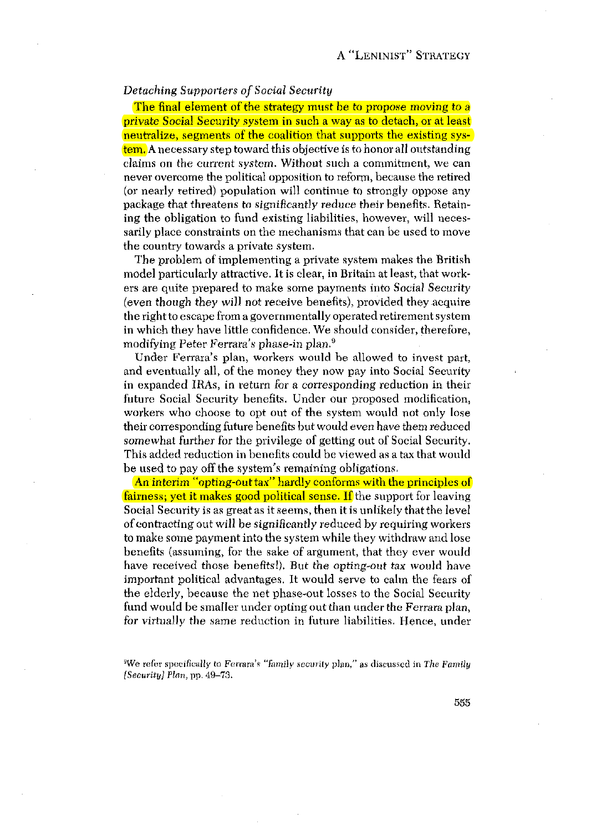#### *Detaching Supporters of Social Security*

The final element of the strategy must be to propose moving to a private Social Security system in such a way as to detach, or at least neutralize, segments of the coalition that supports the existing system. A necessary step toward this objective is to honor all outstanding claims on the current system. Without such a commitment, we can never overcome the political opposition to reform, because the retired (or nearly retired) population will continue to strongly oppose any package that threatens to significantly reduce their benefits. Retaining the obligation to fund existing liabilities, however, will necessarily place constraints on the mechanisms that can be used to move the country towards a private system.

The problem of implementing a private system makes the British model particularly attractive. It is clear, in Britain at least, that workers are quite prepared to make some payments into Social Security (even though they will not receive benefits), provided they acquire the right to escape from a governmentally operated retirement system in which they have little confidence. We should consider, therefore, modifying Peter Ferrara's phase-in plan.°

Under Ferrara's plan, workers would be allowed to invest part, and eventually all, of the money they now pay into Social Security in expanded IRAs, in return for a corresponding reduction in their future Social Security benefits. Under our proposed modification, workers who choose to opt out of the system would not only lose their corresponding future benefits but would even have them reduced somewhat further for the privilege of getting out of Social Security. This added reduction in benefits could be viewed as a tax that would be used to pay off the system's remaining obligations.

An interim "opting-out tax" hardly conforms with the principles of fairness; yet it makes good political sense. If the support for leaving Social Security is as great as it seems, then it is unlikely that the level of contracting out will be significantly reduced by requiring workers tomake some payment into the system while they withdraw and lose benefits (assuming, for the sake of argument, that they ever would have received those benefits!). But the opting-out tax would have important political advantages. It would serve to calm the fears of the elderly, because the net phase.out losses to the Social Security fund would be smaller under opting out than under the Ferrara plan, for virtually the same reduction in future liabilities. Hence, under

<sup>9</sup>We refer specifically to Ferrara's "family security plan," as discussed in *The Family (Security] Plan,* pp. 49—73.